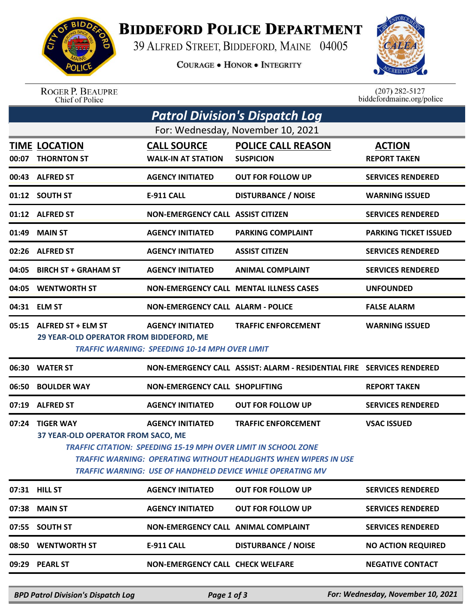

## **BIDDEFORD POLICE DEPARTMENT**

39 ALFRED STREET, BIDDEFORD, MAINE 04005

**COURAGE . HONOR . INTEGRITY** 



ROGER P. BEAUPRE<br>Chief of Police

 $(207)$  282-5127<br>biddefordmaine.org/police

| <b>Patrol Division's Dispatch Log</b> |                                                                                                                                                                                                                                                                                                                                                        |                                                                                  |                                                                       |                                      |  |  |  |  |
|---------------------------------------|--------------------------------------------------------------------------------------------------------------------------------------------------------------------------------------------------------------------------------------------------------------------------------------------------------------------------------------------------------|----------------------------------------------------------------------------------|-----------------------------------------------------------------------|--------------------------------------|--|--|--|--|
| For: Wednesday, November 10, 2021     |                                                                                                                                                                                                                                                                                                                                                        |                                                                                  |                                                                       |                                      |  |  |  |  |
|                                       | <b>TIME LOCATION</b><br>00:07 THORNTON ST                                                                                                                                                                                                                                                                                                              | <b>CALL SOURCE</b><br><b>WALK-IN AT STATION</b>                                  | <b>POLICE CALL REASON</b><br><b>SUSPICION</b>                         | <b>ACTION</b><br><b>REPORT TAKEN</b> |  |  |  |  |
|                                       | 00:43 ALFRED ST                                                                                                                                                                                                                                                                                                                                        | <b>AGENCY INITIATED</b>                                                          | <b>OUT FOR FOLLOW UP</b>                                              | <b>SERVICES RENDERED</b>             |  |  |  |  |
|                                       | 01:12 SOUTH ST                                                                                                                                                                                                                                                                                                                                         | <b>E-911 CALL</b>                                                                | <b>DISTURBANCE / NOISE</b>                                            | <b>WARNING ISSUED</b>                |  |  |  |  |
|                                       | 01:12 ALFRED ST                                                                                                                                                                                                                                                                                                                                        | <b>NON-EMERGENCY CALL ASSIST CITIZEN</b>                                         |                                                                       | <b>SERVICES RENDERED</b>             |  |  |  |  |
| 01:49                                 | <b>MAIN ST</b>                                                                                                                                                                                                                                                                                                                                         | <b>AGENCY INITIATED</b>                                                          | <b>PARKING COMPLAINT</b>                                              | <b>PARKING TICKET ISSUED</b>         |  |  |  |  |
|                                       | 02:26 ALFRED ST                                                                                                                                                                                                                                                                                                                                        | <b>AGENCY INITIATED</b>                                                          | <b>ASSIST CITIZEN</b>                                                 | <b>SERVICES RENDERED</b>             |  |  |  |  |
| 04:05                                 | <b>BIRCH ST + GRAHAM ST</b>                                                                                                                                                                                                                                                                                                                            | <b>AGENCY INITIATED</b>                                                          | <b>ANIMAL COMPLAINT</b>                                               | <b>SERVICES RENDERED</b>             |  |  |  |  |
| 04:05                                 | <b>WENTWORTH ST</b>                                                                                                                                                                                                                                                                                                                                    |                                                                                  | <b>NON-EMERGENCY CALL MENTAL ILLNESS CASES</b>                        | <b>UNFOUNDED</b>                     |  |  |  |  |
|                                       | 04:31 ELM ST                                                                                                                                                                                                                                                                                                                                           | <b>NON-EMERGENCY CALL ALARM - POLICE</b>                                         |                                                                       | <b>FALSE ALARM</b>                   |  |  |  |  |
|                                       | 05:15 ALFRED ST + ELM ST<br>29 YEAR-OLD OPERATOR FROM BIDDEFORD, ME                                                                                                                                                                                                                                                                                    | <b>AGENCY INITIATED</b><br><b>TRAFFIC WARNING: SPEEDING 10-14 MPH OVER LIMIT</b> | <b>TRAFFIC ENFORCEMENT</b>                                            | <b>WARNING ISSUED</b>                |  |  |  |  |
|                                       | 06:30 WATER ST                                                                                                                                                                                                                                                                                                                                         |                                                                                  | NON-EMERGENCY CALL ASSIST: ALARM - RESIDENTIAL FIRE SERVICES RENDERED |                                      |  |  |  |  |
| 06:50                                 | <b>BOULDER WAY</b>                                                                                                                                                                                                                                                                                                                                     | NON-EMERGENCY CALL SHOPLIFTING                                                   |                                                                       | <b>REPORT TAKEN</b>                  |  |  |  |  |
|                                       | 07:19 ALFRED ST                                                                                                                                                                                                                                                                                                                                        | <b>AGENCY INITIATED</b>                                                          | <b>OUT FOR FOLLOW UP</b>                                              | <b>SERVICES RENDERED</b>             |  |  |  |  |
|                                       | 07:24 TIGER WAY<br><b>AGENCY INITIATED</b><br><b>TRAFFIC ENFORCEMENT</b><br><b>VSAC ISSUED</b><br>37 YEAR-OLD OPERATOR FROM SACO, ME<br>TRAFFIC CITATION: SPEEDING 15-19 MPH OVER LIMIT IN SCHOOL ZONE<br><b>TRAFFIC WARNING: OPERATING WITHOUT HEADLIGHTS WHEN WIPERS IN USE</b><br><b>TRAFFIC WARNING: USE OF HANDHELD DEVICE WHILE OPERATING MV</b> |                                                                                  |                                                                       |                                      |  |  |  |  |
|                                       | 07:31 HILL ST                                                                                                                                                                                                                                                                                                                                          | <b>AGENCY INITIATED</b>                                                          | <b>OUT FOR FOLLOW UP</b>                                              | <b>SERVICES RENDERED</b>             |  |  |  |  |
| 07:38                                 | <b>MAIN ST</b>                                                                                                                                                                                                                                                                                                                                         | <b>AGENCY INITIATED</b>                                                          | <b>OUT FOR FOLLOW UP</b>                                              | <b>SERVICES RENDERED</b>             |  |  |  |  |
| 07:55                                 | <b>SOUTH ST</b>                                                                                                                                                                                                                                                                                                                                        | <b>NON-EMERGENCY CALL ANIMAL COMPLAINT</b>                                       |                                                                       | <b>SERVICES RENDERED</b>             |  |  |  |  |
| 08:50                                 | <b>WENTWORTH ST</b>                                                                                                                                                                                                                                                                                                                                    | <b>E-911 CALL</b>                                                                | <b>DISTURBANCE / NOISE</b>                                            | <b>NO ACTION REQUIRED</b>            |  |  |  |  |
|                                       | 09:29 PEARL ST                                                                                                                                                                                                                                                                                                                                         | <b>NON-EMERGENCY CALL CHECK WELFARE</b>                                          |                                                                       | <b>NEGATIVE CONTACT</b>              |  |  |  |  |
|                                       |                                                                                                                                                                                                                                                                                                                                                        |                                                                                  |                                                                       |                                      |  |  |  |  |

*BPD Patrol Division's Dispatch Log Page 1 of 3 For: Wednesday, November 10, 2021*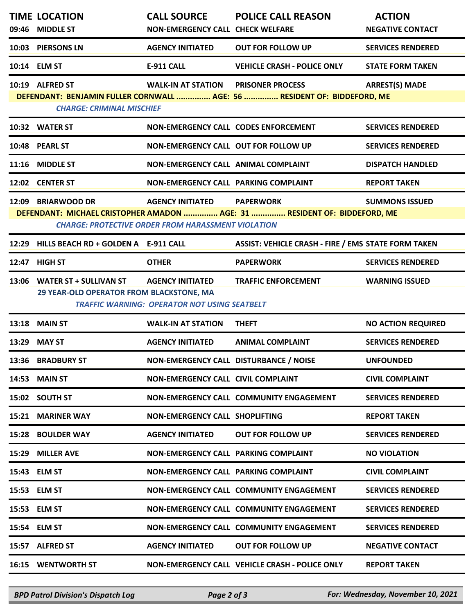| 09:46 | <b>TIME LOCATION</b><br><b>MIDDLE ST</b>                                                                                                                                                                                             | <b>CALL SOURCE</b><br><b>NON-EMERGENCY CALL CHECK WELFARE</b>                  | <b>POLICE CALL REASON</b>                                                                           | <b>ACTION</b><br><b>NEGATIVE CONTACT</b> |  |  |
|-------|--------------------------------------------------------------------------------------------------------------------------------------------------------------------------------------------------------------------------------------|--------------------------------------------------------------------------------|-----------------------------------------------------------------------------------------------------|------------------------------------------|--|--|
| 10:03 | <b>PIERSONS LN</b>                                                                                                                                                                                                                   | <b>AGENCY INITIATED</b>                                                        | <b>OUT FOR FOLLOW UP</b>                                                                            | <b>SERVICES RENDERED</b>                 |  |  |
|       | 10:14 ELM ST                                                                                                                                                                                                                         | <b>E-911 CALL</b>                                                              | <b>VEHICLE CRASH - POLICE ONLY</b>                                                                  | <b>STATE FORM TAKEN</b>                  |  |  |
|       | 10:19 ALFRED ST<br><b>CHARGE: CRIMINAL MISCHIEF</b>                                                                                                                                                                                  | <b>WALK-IN AT STATION</b>                                                      | <b>PRISONER PROCESS</b><br>DEFENDANT: BENJAMIN FULLER CORNWALL  AGE: 56  RESIDENT OF: BIDDEFORD, ME | <b>ARREST(S) MADE</b>                    |  |  |
|       | 10:32 WATER ST                                                                                                                                                                                                                       | NON-EMERGENCY CALL CODES ENFORCEMENT                                           |                                                                                                     | <b>SERVICES RENDERED</b>                 |  |  |
|       | 10:48 PEARL ST                                                                                                                                                                                                                       | NON-EMERGENCY CALL OUT FOR FOLLOW UP                                           |                                                                                                     | <b>SERVICES RENDERED</b>                 |  |  |
| 11:16 | <b>MIDDLE ST</b>                                                                                                                                                                                                                     | NON-EMERGENCY CALL ANIMAL COMPLAINT                                            |                                                                                                     | <b>DISPATCH HANDLED</b>                  |  |  |
|       | 12:02 CENTER ST                                                                                                                                                                                                                      | NON-EMERGENCY CALL PARKING COMPLAINT                                           |                                                                                                     | <b>REPORT TAKEN</b>                      |  |  |
|       | 12:09 BRIARWOOD DR<br><b>AGENCY INITIATED</b><br><b>PAPERWORK</b><br><b>SUMMONS ISSUED</b><br>DEFENDANT: MICHAEL CRISTOPHER AMADON  AGE: 31  RESIDENT OF: BIDDEFORD, ME<br><b>CHARGE: PROTECTIVE ORDER FROM HARASSMENT VIOLATION</b> |                                                                                |                                                                                                     |                                          |  |  |
| 12:29 | HILLS BEACH RD + GOLDEN A E-911 CALL                                                                                                                                                                                                 |                                                                                | <b>ASSIST: VEHICLE CRASH - FIRE / EMS STATE FORM TAKEN</b>                                          |                                          |  |  |
|       | 12:47 HIGH ST                                                                                                                                                                                                                        | <b>OTHER</b>                                                                   | <b>PAPERWORK</b>                                                                                    | <b>SERVICES RENDERED</b>                 |  |  |
| 13:06 | <b>WATER ST + SULLIVAN ST</b><br>29 YEAR-OLD OPERATOR FROM BLACKSTONE, MA                                                                                                                                                            | <b>AGENCY INITIATED</b><br><b>TRAFFIC WARNING: OPERATOR NOT USING SEATBELT</b> | <b>TRAFFIC ENFORCEMENT</b>                                                                          | <b>WARNING ISSUED</b>                    |  |  |
|       |                                                                                                                                                                                                                                      |                                                                                |                                                                                                     |                                          |  |  |
| 13:18 | <b>MAIN ST</b>                                                                                                                                                                                                                       | <b>WALK-IN AT STATION</b>                                                      | <b>THEFT</b>                                                                                        | <b>NO ACTION REQUIRED</b>                |  |  |
| 13:29 | <b>MAY ST</b>                                                                                                                                                                                                                        | <b>AGENCY INITIATED</b>                                                        | <b>ANIMAL COMPLAINT</b>                                                                             | <b>SERVICES RENDERED</b>                 |  |  |
|       | 13:36 BRADBURY ST                                                                                                                                                                                                                    | NON-EMERGENCY CALL DISTURBANCE / NOISE                                         |                                                                                                     | <b>UNFOUNDED</b>                         |  |  |
| 14:53 | <b>MAIN ST</b>                                                                                                                                                                                                                       | NON-EMERGENCY CALL CIVIL COMPLAINT                                             |                                                                                                     | <b>CIVIL COMPLAINT</b>                   |  |  |
|       | 15:02 SOUTH ST                                                                                                                                                                                                                       |                                                                                | NON-EMERGENCY CALL COMMUNITY ENGAGEMENT                                                             | <b>SERVICES RENDERED</b>                 |  |  |
| 15:21 | <b>MARINER WAY</b>                                                                                                                                                                                                                   | NON-EMERGENCY CALL SHOPLIFTING                                                 |                                                                                                     | <b>REPORT TAKEN</b>                      |  |  |
| 15:28 | <b>BOULDER WAY</b>                                                                                                                                                                                                                   | <b>AGENCY INITIATED</b>                                                        | <b>OUT FOR FOLLOW UP</b>                                                                            | <b>SERVICES RENDERED</b>                 |  |  |
| 15:29 | <b>MILLER AVE</b>                                                                                                                                                                                                                    | NON-EMERGENCY CALL PARKING COMPLAINT                                           |                                                                                                     | <b>NO VIOLATION</b>                      |  |  |
|       | 15:43 ELM ST                                                                                                                                                                                                                         | NON-EMERGENCY CALL PARKING COMPLAINT                                           |                                                                                                     | <b>CIVIL COMPLAINT</b>                   |  |  |
|       | 15:53 ELM ST                                                                                                                                                                                                                         |                                                                                | NON-EMERGENCY CALL COMMUNITY ENGAGEMENT                                                             | <b>SERVICES RENDERED</b>                 |  |  |
| 15:53 | <b>ELM ST</b>                                                                                                                                                                                                                        |                                                                                | NON-EMERGENCY CALL COMMUNITY ENGAGEMENT                                                             | <b>SERVICES RENDERED</b>                 |  |  |
|       | 15:54 ELM ST                                                                                                                                                                                                                         |                                                                                | NON-EMERGENCY CALL COMMUNITY ENGAGEMENT                                                             | <b>SERVICES RENDERED</b>                 |  |  |
|       | 15:57 ALFRED ST                                                                                                                                                                                                                      | <b>AGENCY INITIATED</b>                                                        | <b>OUT FOR FOLLOW UP</b>                                                                            | <b>NEGATIVE CONTACT</b>                  |  |  |

*BPD Patrol Division's Dispatch Log Page 2 of 3 For: Wednesday, November 10, 2021*